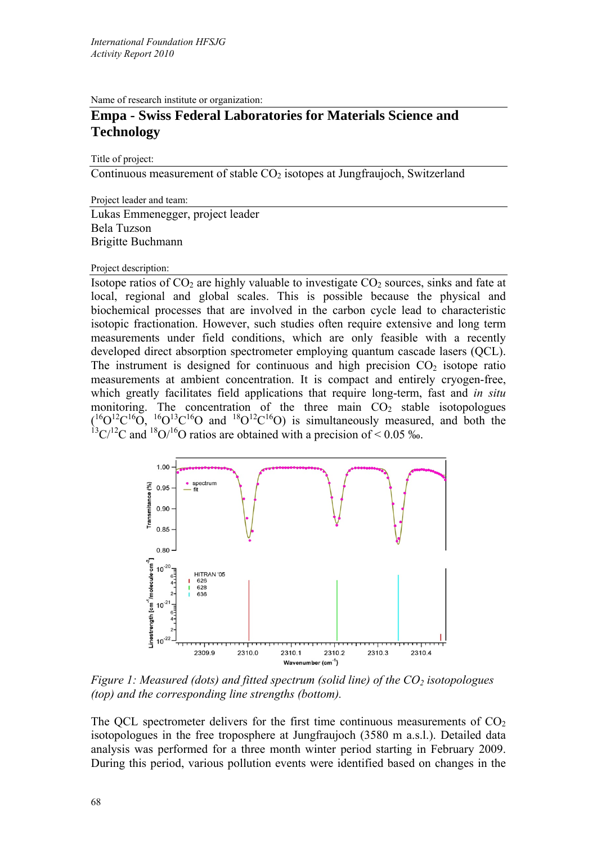Name of research institute or organization:

## **Empa - Swiss Federal Laboratories for Materials Science and Technology**

Title of project:

Continuous measurement of stable  $CO<sub>2</sub>$  isotopes at Jungfraujoch, Switzerland

Project leader and team:

Lukas Emmenegger, project leader Bela Tuzson Brigitte Buchmann

Project description:

Isotope ratios of  $CO<sub>2</sub>$  are highly valuable to investigate  $CO<sub>2</sub>$  sources, sinks and fate at local, regional and global scales. This is possible because the physical and biochemical processes that are involved in the carbon cycle lead to characteristic isotopic fractionation. However, such studies often require extensive and long term measurements under field conditions, which are only feasible with a recently developed direct absorption spectrometer employing quantum cascade lasers (QCL). The instrument is designed for continuous and high precision  $CO<sub>2</sub>$  isotope ratio measurements at ambient concentration. It is compact and entirely cryogen-free, which greatly facilitates field applications that require long-term, fast and *in situ* monitoring. The concentration of the three main  $CO<sub>2</sub>$  stable isotopologues  $(16O^{12}C^{16}O, 16O^{13}C^{16}O)$  and  $18O^{12}C^{16}O$  is simultaneously measured, and both the  $13 \text{C}/12 \text{C}$  and  $18 \text{O}/16 \text{O}$  ratios are obtained with a precision of < 0.05 ‰.



*Figure 1: Measured (dots) and fitted spectrum (solid line) of the CO<sub>2</sub> isotopologues (top) and the corresponding line strengths (bottom).* 

The QCL spectrometer delivers for the first time continuous measurements of  $CO<sub>2</sub>$ isotopologues in the free troposphere at Jungfraujoch (3580 m a.s.l.). Detailed data analysis was performed for a three month winter period starting in February 2009. During this period, various pollution events were identified based on changes in the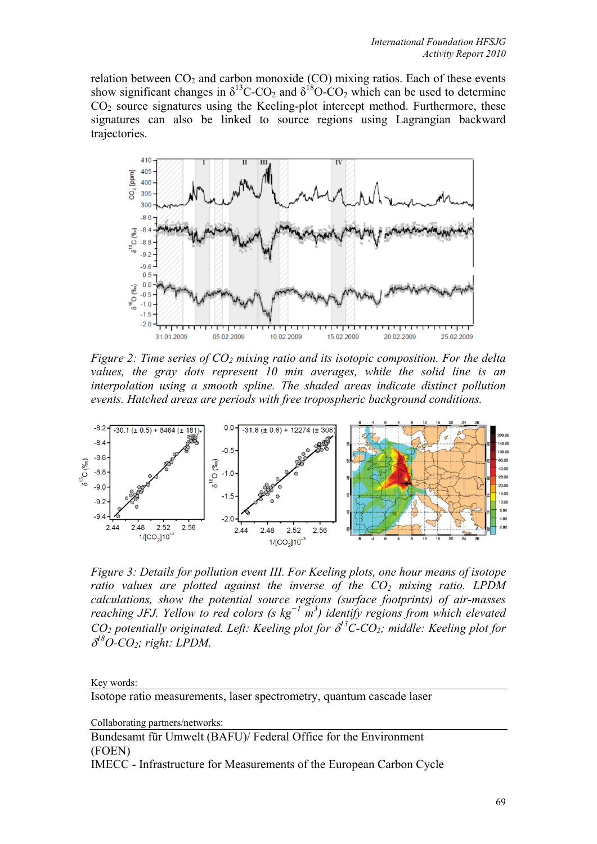relation between  $CO<sub>2</sub>$  and carbon monoxide (CO) mixing ratios. Each of these events show significant changes in  $\delta^{13}$ C-CO<sub>2</sub> and  $\delta^{18}$ O-CO<sub>2</sub> which can be used to determine  $CO<sub>2</sub>$  source signatures using the Keeling-plot intercept method. Furthermore, these signatures can also be linked to source regions using Lagrangian backward trajectories.



*Figure 2: Time series of CO<sub>2</sub> mixing ratio and its isotopic composition. For the delta values, the gray dots represent 10 min averages, while the solid line is an interpolation using a smooth spline. The shaded areas indicate distinct pollution events. Hatched areas are periods with free tropospheric background conditions.* 



*Figure 3: Details for pollution event III. For Keeling plots, one hour means of isotope ratio values are plotted against the inverse of the*  $CO<sub>2</sub>$  *mixing ratio. LPDM calculations, show the potential source regions (surface footprints) of air-masses reaching JFJ. Yellow to red colors (s kg<sup>−</sup><sup>1</sup> m 3 ) identify regions from which elevated*   $CO<sub>2</sub>$  potentially originated. Left: Keeling plot for  $\delta$ <sup>13</sup>C-CO<sub>2</sub>; middle: Keeling plot for  $\delta^{18}O$ -CO<sub>2</sub>; right: LPDM.

## Key words:

Isotope ratio measurements, laser spectrometry, quantum cascade laser

Collaborating partners/networks:

Bundesamt für Umwelt (BAFU)/ Federal Office for the Environment (FOEN)

IMECC - Infrastructure for Measurements of the European Carbon Cycle